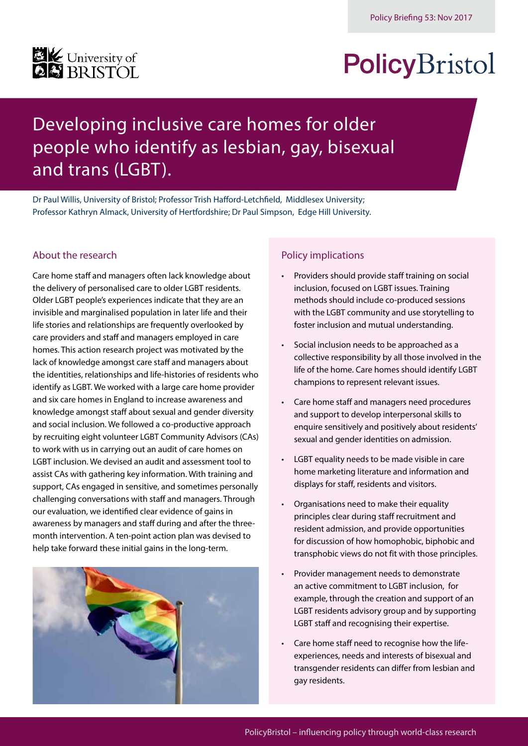# **EK** University of

## PolicyBristol

### Developing inclusive care homes for older people who identify as lesbian, gay, bisexual and trans (LGBT).

Dr Paul Willis, University of Bristol; Professor Trish Hafford-Letchfield, Middlesex University; Professor Kathryn Almack, University of Hertfordshire; Dr Paul Simpson, Edge Hill University.

### About the research

Care home staff and managers often lack knowledge about the delivery of personalised care to older LGBT residents. Older LGBT people's experiences indicate that they are an invisible and marginalised population in later life and their life stories and relationships are frequently overlooked by care providers and staff and managers employed in care homes. This action research project was motivated by the lack of knowledge amongst care staff and managers about the identities, relationships and life-histories of residents who identify as LGBT. We worked with a large care home provider and six care homes in England to increase awareness and knowledge amongst staff about sexual and gender diversity and social inclusion. We followed a co-productive approach by recruiting eight volunteer LGBT Community Advisors (CAs) to work with us in carrying out an audit of care homes on LGBT inclusion. We devised an audit and assessment tool to assist CAs with gathering key information. With training and support, CAs engaged in sensitive, and sometimes personally challenging conversations with staff and managers. Through our evaluation, we identified clear evidence of gains in awareness by managers and staff during and after the threemonth intervention. A ten-point action plan was devised to help take forward these initial gains in the long-term.



### Policy implications

- Providers should provide staff training on social inclusion, focused on LGBT issues. Training methods should include co-produced sessions with the LGBT community and use storytelling to foster inclusion and mutual understanding.
- Social inclusion needs to be approached as a collective responsibility by all those involved in the life of the home. Care homes should identify LGBT champions to represent relevant issues.
- Care home staff and managers need procedures and support to develop interpersonal skills to enquire sensitively and positively about residents' sexual and gender identities on admission.
- LGBT equality needs to be made visible in care home marketing literature and information and displays for staff, residents and visitors.
- Organisations need to make their equality principles clear during staff recruitment and resident admission, and provide opportunities for discussion of how homophobic, biphobic and transphobic views do not fit with those principles.
- Provider management needs to demonstrate an active commitment to LGBT inclusion, for example, through the creation and support of an LGBT residents advisory group and by supporting LGBT staff and recognising their expertise.
- Care home staff need to recognise how the lifeexperiences, needs and interests of bisexual and transgender residents can differ from lesbian and gay residents.